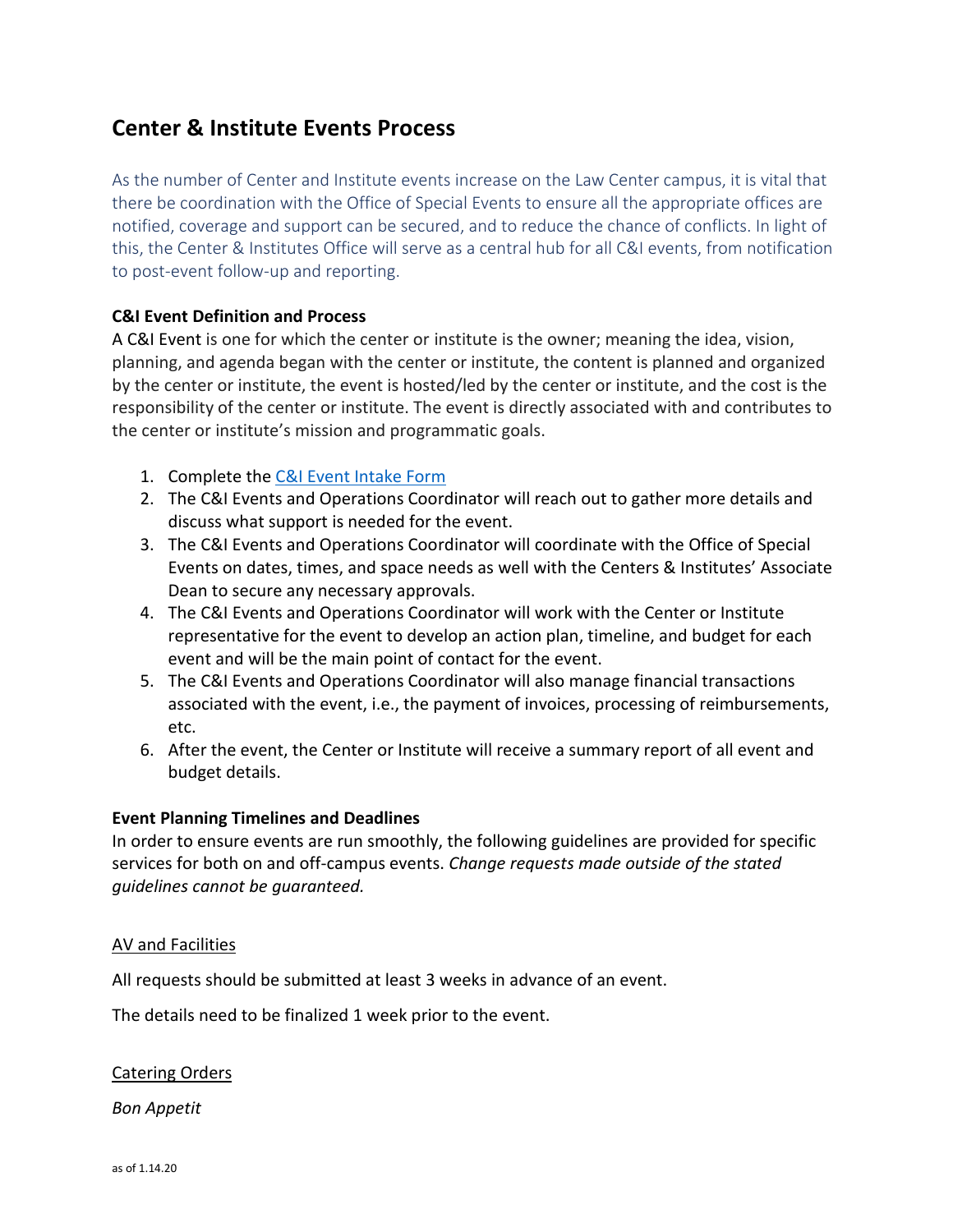# **Center & Institute Events Process**

As the number of Center and Institute events increase on the Law Center campus, it is vital that there be coordination with the Office of Special Events to ensure all the appropriate offices are notified, coverage and support can be secured, and to reduce the chance of conflicts. In light of this, the Center & Institutes Office will serve as a central hub for all C&I events, from notification to post-event follow-up and reporting.

## **C&I Event Definition and Process**

A C&I Event is one for which the center or institute is the owner; meaning the idea, vision, planning, and agenda began with the center or institute, the content is planned and organized by the center or institute, the event is hosted/led by the center or institute, and the cost is the responsibility of the center or institute. The event is directly associated with and contributes to the center or institute's mission and programmatic goals.

- 1. Complete the [C&I Event Intake](https://forms.gle/kDCdUryq72sMBWU77) [Form](https://forms.gle/kDCdUryq72sMBWU77)
- 2. The C&I Events and Operations Coordinator will reach out to gather more details and discuss what support is needed for the event.
- 3. The C&I Events and Operations Coordinator will coordinate with the Office of Special Events on dates, times, and space needs as well with the Centers & Institutes' Associate Dean to secure any necessary approvals.
- 4. The C&I Events and Operations Coordinator will work with the Center or Institute representative for the event to develop an action plan, timeline, and budget for each event and will be the main point of contact for the event.
- 5. The C&I Events and Operations Coordinator will also manage financial transactions associated with the event, i.e., the payment of invoices, processing of reimbursements, etc.
- 6. After the event, the Center or Institute will receive a summary report of all event and budget details.

## **Event Planning Timelines and Deadlines**

In order to ensure events are run smoothly, the following guidelines are provided for specific services for both on and off-campus events. *Change requests made outside of the stated guidelines cannot be guaranteed.*

## AV and Facilities

All requests should be submitted at least 3 weeks in advance of an event.

The details need to be finalized 1 week prior to the event.

## Catering Orders

*Bon Appetit*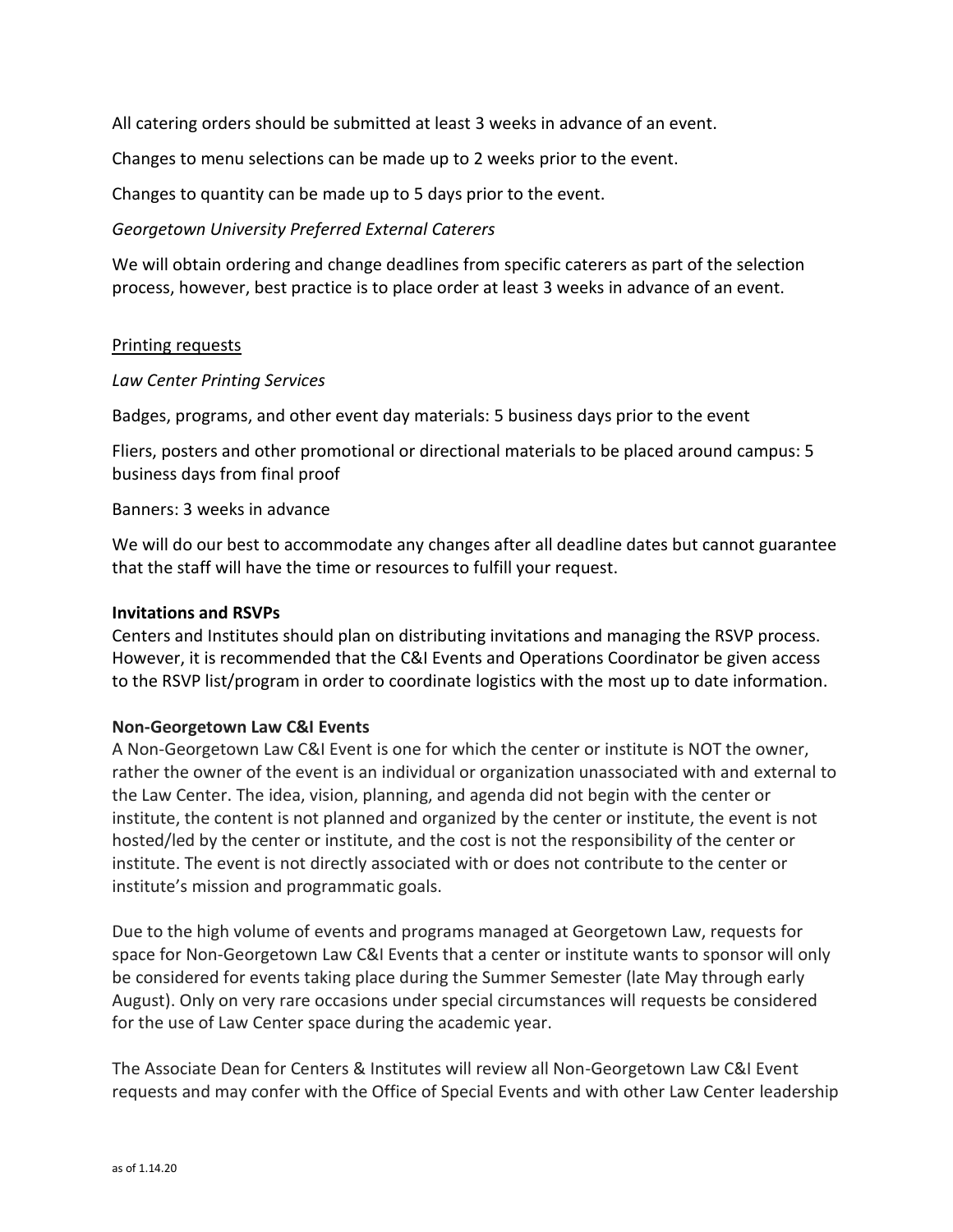All catering orders should be submitted at least 3 weeks in advance of an event.

Changes to menu selections can be made up to 2 weeks prior to the event.

Changes to quantity can be made up to 5 days prior to the event.

## *Georgetown University Preferred External Caterers*

We will obtain ordering and change deadlines from specific caterers as part of the selection process, however, best practice is to place order at least 3 weeks in advance of an event.

## Printing requests

## *Law Center Printing Services*

Badges, programs, and other event day materials: 5 business days prior to the event

Fliers, posters and other promotional or directional materials to be placed around campus: 5 business days from final proof

## Banners: 3 weeks in advance

We will do our best to accommodate any changes after all deadline dates but cannot guarantee that the staff will have the time or resources to fulfill your request.

## **Invitations and RSVPs**

Centers and Institutes should plan on distributing invitations and managing the RSVP process. However, it is recommended that the C&I Events and Operations Coordinator be given access to the RSVP list/program in order to coordinate logistics with the most up to date information.

## **Non-Georgetown Law C&I Events**

A Non-Georgetown Law C&I Event is one for which the center or institute is NOT the owner, rather the owner of the event is an individual or organization unassociated with and external to the Law Center. The idea, vision, planning, and agenda did not begin with the center or institute, the content is not planned and organized by the center or institute, the event is not hosted/led by the center or institute, and the cost is not the responsibility of the center or institute. The event is not directly associated with or does not contribute to the center or institute's mission and programmatic goals.

Due to the high volume of events and programs managed at Georgetown Law, requests for space for Non-Georgetown Law C&I Events that a center or institute wants to sponsor will only be considered for events taking place during the Summer Semester (late May through early August). Only on very rare occasions under special circumstances will requests be considered for the use of Law Center space during the academic year.

The Associate Dean for Centers & Institutes will review all Non-Georgetown Law C&I Event requests and may confer with the Office of Special Events and with other Law Center leadership